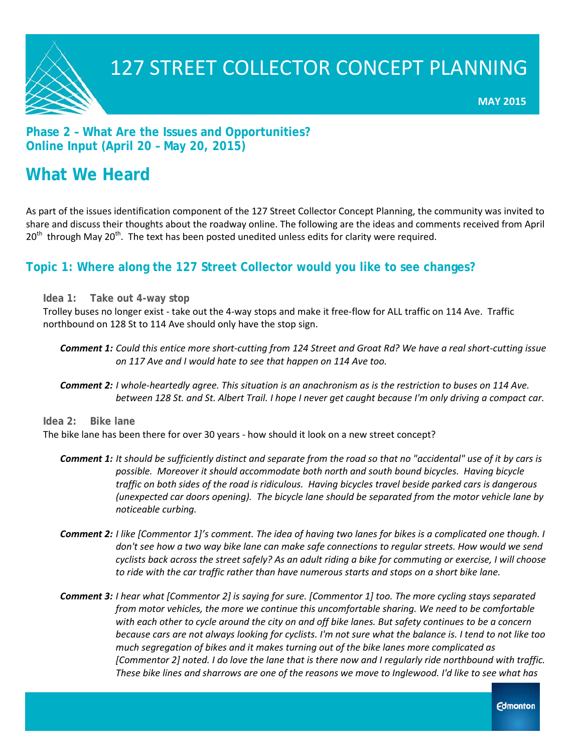

### **Phase 2 – What Are the Issues and Opportunities? Online Input (April 20 – May 20, 2015)**

### **What We Heard**

As part of the issues identification component of the 127 Street Collector Concept Planning, the community was invited to share and discuss their thoughts about the roadway online. The following are the ideas and comments received from April  $20<sup>th</sup>$  through May 20<sup>th</sup>. The text has been posted unedited unless edits for clarity were required.

### **Topic 1: Where along the 127 Street Collector would you like to see changes?**

**Idea 1: Take out 4-way stop**

Trolley buses no longer exist - take out the 4-way stops and make it free-flow for ALL traffic on 114 Ave. Traffic northbound on 128 St to 114 Ave should only have the stop sign.

- *Comment 1: Could this entice more short-cutting from 124 Street and Groat Rd? We have a real short-cutting issue on 117 Ave and I would hate to see that happen on 114 Ave too.*
- *Comment 2: I whole-heartedly agree. This situation is an anachronism as is the restriction to buses on 114 Ave. between 128 St. and St. Albert Trail. I hope I never get caught because I'm only driving a compact car.*

**Idea 2: Bike lane**

The bike lane has been there for over 30 years - how should it look on a new street concept?

- *Comment 1: It should be sufficiently distinct and separate from the road so that no "accidental" use of it by cars is possible. Moreover it should accommodate both north and south bound bicycles. Having bicycle traffic on both sides of the road is ridiculous. Having bicycles travel beside parked cars is dangerous (unexpected car doors opening). The bicycle lane should be separated from the motor vehicle lane by noticeable curbing.*
- *Comment 2: I like [Commentor 1]'s comment. The idea of having two lanes for bikes is a complicated one though. I don't see how a two way bike lane can make safe connections to regular streets. How would we send cyclists back across the street safely? As an adult riding a bike for commuting or exercise, I will choose to ride with the car traffic rather than have numerous starts and stops on a short bike lane.*
- *Comment 3: I hear what [Commentor 2] is saying for sure. [Commentor 1] too. The more cycling stays separated from motor vehicles, the more we continue this uncomfortable sharing. We need to be comfortable with each other to cycle around the city on and off bike lanes. But safety continues to be a concern because cars are not always looking for cyclists. I'm not sure what the balance is. I tend to not like too much segregation of bikes and it makes turning out of the bike lanes more complicated as [Commentor 2] noted. I do love the lane that is there now and I regularly ride northbound with traffic. These bike lines and sharrows are one of the reasons we move to Inglewood. I'd like to see what has*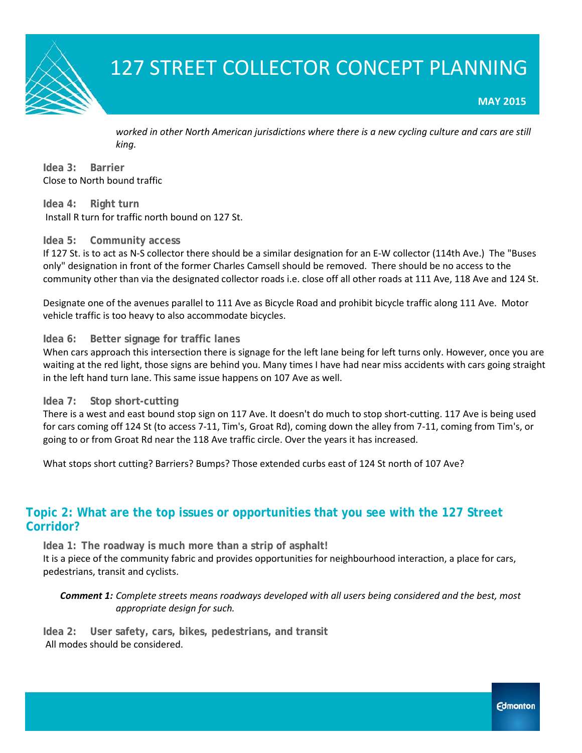

#### **MAY 2015**

*worked in other North American jurisdictions where there is a new cycling culture and cars are still king.* 

**Idea 3: Barrier** Close to North bound traffic

**Idea 4: Right turn** Install R turn for traffic north bound on 127 St.

#### **Idea 5: Community access**

If 127 St. is to act as N-S collector there should be a similar designation for an E-W collector (114th Ave.) The "Buses only" designation in front of the former Charles Camsell should be removed. There should be no access to the community other than via the designated collector roads i.e. close off all other roads at 111 Ave, 118 Ave and 124 St.

Designate one of the avenues parallel to 111 Ave as Bicycle Road and prohibit bicycle traffic along 111 Ave. Motor vehicle traffic is too heavy to also accommodate bicycles.

#### **Idea 6: Better signage for traffic lanes**

When cars approach this intersection there is signage for the left lane being for left turns only. However, once you are waiting at the red light, those signs are behind you. Many times I have had near miss accidents with cars going straight in the left hand turn lane. This same issue happens on 107 Ave as well.

#### **Idea 7: Stop short-cutting**

There is a west and east bound stop sign on 117 Ave. It doesn't do much to stop short-cutting. 117 Ave is being used for cars coming off 124 St (to access 7-11, Tim's, Groat Rd), coming down the alley from 7-11, coming from Tim's, or going to or from Groat Rd near the 118 Ave traffic circle. Over the years it has increased.

What stops short cutting? Barriers? Bumps? Those extended curbs east of 124 St north of 107 Ave?

### **Topic 2: What are the top issues or opportunities that you see with the 127 Street Corridor?**

**Idea 1: The roadway is much more than a strip of asphalt!** It is a piece of the community fabric and provides opportunities for neighbourhood interaction, a place for cars, pedestrians, transit and cyclists.

*Comment 1: Complete streets means roadways developed with all users being considered and the best, most appropriate design for such.* 

**Idea 2: User safety, cars, bikes, pedestrians, and transit** All modes should be considered.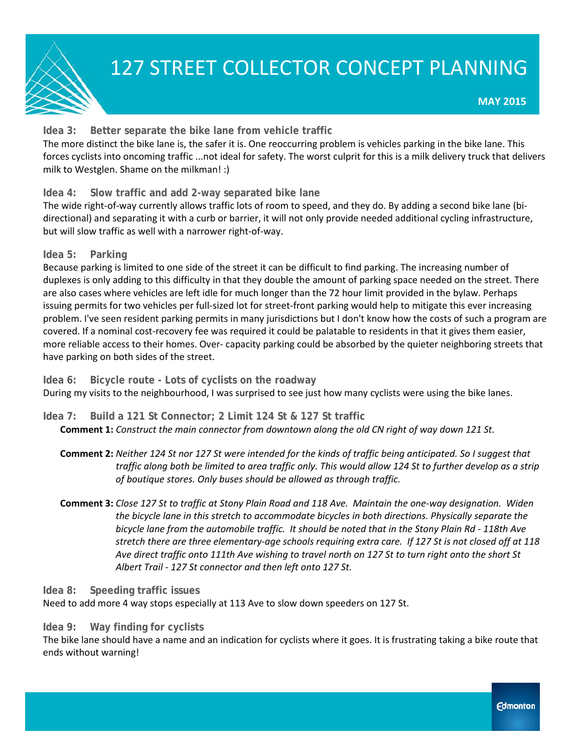

#### **Idea 3: Better separate the bike lane from vehicle traffic**

The more distinct the bike lane is, the safer it is. One reoccurring problem is vehicles parking in the bike lane. This forces cyclists into oncoming traffic ...not ideal for safety. The worst culprit for this is a milk delivery truck that delivers milk to Westglen. Shame on the milkman! :)

#### **Idea 4: Slow traffic and add 2-way separated bike lane**

The wide right-of-way currently allows traffic lots of room to speed, and they do. By adding a second bike lane (bidirectional) and separating it with a curb or barrier, it will not only provide needed additional cycling infrastructure, but will slow traffic as well with a narrower right-of-way.

#### **Idea 5: Parking**

Because parking is limited to one side of the street it can be difficult to find parking. The increasing number of duplexes is only adding to this difficulty in that they double the amount of parking space needed on the street. There are also cases where vehicles are left idle for much longer than the 72 hour limit provided in the bylaw. Perhaps issuing permits for two vehicles per full-sized lot for street-front parking would help to mitigate this ever increasing problem. I've seen resident parking permits in many jurisdictions but I don't know how the costs of such a program are covered. If a nominal cost-recovery fee was required it could be palatable to residents in that it gives them easier, more reliable access to their homes. Over- capacity parking could be absorbed by the quieter neighboring streets that have parking on both sides of the street.

**Idea 6: Bicycle route - Lots of cyclists on the roadway**

During my visits to the neighbourhood, I was surprised to see just how many cyclists were using the bike lanes.

**Idea 7: Build a 121 St Connector; 2 Limit 124 St & 127 St traffic**

**Comment 1:** *Construct the main connector from downtown along the old CN right of way down 121 St.*

- **Comment 2:** *Neither 124 St nor 127 St were intended for the kinds of traffic being anticipated. So I suggest that traffic along both be limited to area traffic only. This would allow 124 St to further develop as a strip of boutique stores. Only buses should be allowed as through traffic.*
- **Comment 3:** *Close 127 St to traffic at Stony Plain Road and 118 Ave. Maintain the one-way designation. Widen the bicycle lane in this stretch to accommodate bicycles in both directions. Physically separate the bicycle lane from the automobile traffic. It should be noted that in the Stony Plain Rd - 118th Ave stretch there are three elementary-age schools requiring extra care. If 127 St is not closed off at 118 Ave direct traffic onto 111th Ave wishing to travel north on 127 St to turn right onto the short St Albert Trail - 127 St connector and then left onto 127 St.*

#### **Idea 8: Speeding traffic issues**

Need to add more 4 way stops especially at 113 Ave to slow down speeders on 127 St.

#### **Idea 9: Way finding for cyclists**

The bike lane should have a name and an indication for cyclists where it goes. It is frustrating taking a bike route that ends without warning!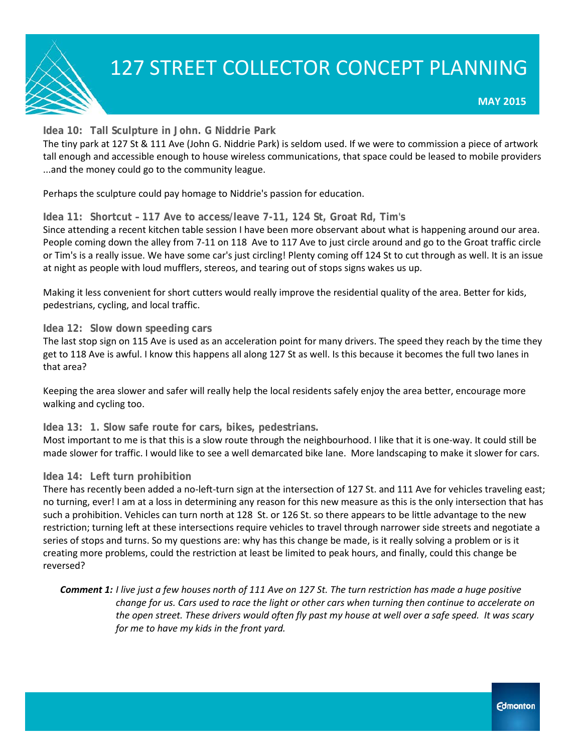

#### **Idea 10: Tall Sculpture in John. G Niddrie Park**

The tiny park at 127 St & 111 Ave (John G. Niddrie Park) is seldom used. If we were to commission a piece of artwork tall enough and accessible enough to house wireless communications, that space could be leased to mobile providers ...and the money could go to the community league.

Perhaps the sculpture could pay homage to Niddrie's passion for education.

#### **Idea 11: Shortcut – 117 Ave to access/leave 7-11, 124 St, Groat Rd, Tim's**

Since attending a recent kitchen table session I have been more observant about what is happening around our area. People coming down the alley from 7-11 on 118 Ave to 117 Ave to just circle around and go to the Groat traffic circle or Tim's is a really issue. We have some car's just circling! Plenty coming off 124 St to cut through as well. It is an issue at night as people with loud mufflers, stereos, and tearing out of stops signs wakes us up.

Making it less convenient for short cutters would really improve the residential quality of the area. Better for kids, pedestrians, cycling, and local traffic.

#### **Idea 12: Slow down speeding cars**

The last stop sign on 115 Ave is used as an acceleration point for many drivers. The speed they reach by the time they get to 118 Ave is awful. I know this happens all along 127 St as well. Is this because it becomes the full two lanes in that area?

Keeping the area slower and safer will really help the local residents safely enjoy the area better, encourage more walking and cycling too.

#### **Idea 13: 1. Slow safe route for cars, bikes, pedestrians.**

Most important to me is that this is a slow route through the neighbourhood. I like that it is one-way. It could still be made slower for traffic. I would like to see a well demarcated bike lane. More landscaping to make it slower for cars.

#### **Idea 14: Left turn prohibition**

There has recently been added a no-left-turn sign at the intersection of 127 St. and 111 Ave for vehicles traveling east; no turning, ever! I am at a loss in determining any reason for this new measure as this is the only intersection that has such a prohibition. Vehicles can turn north at 128 St. or 126 St. so there appears to be little advantage to the new restriction; turning left at these intersections require vehicles to travel through narrower side streets and negotiate a series of stops and turns. So my questions are: why has this change be made, is it really solving a problem or is it creating more problems, could the restriction at least be limited to peak hours, and finally, could this change be reversed?

*Comment 1: I live just a few houses north of 111 Ave on 127 St. The turn restriction has made a huge positive change for us. Cars used to race the light or other cars when turning then continue to accelerate on the open street. These drivers would often fly past my house at well over a safe speed. It was scary for me to have my kids in the front yard.*